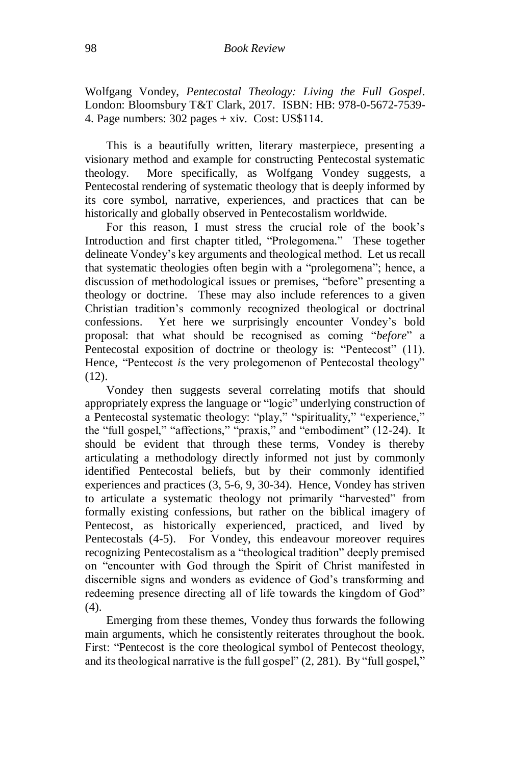Wolfgang Vondey, *Pentecostal Theology: Living the Full Gospel*. London: Bloomsbury T&T Clark, 2017. ISBN: HB: 978-0-5672-7539- 4. Page numbers: 302 pages + xiv. Cost: US\$114.

This is a beautifully written, literary masterpiece, presenting a visionary method and example for constructing Pentecostal systematic theology. More specifically, as Wolfgang Vondey suggests, a Pentecostal rendering of systematic theology that is deeply informed by its core symbol, narrative, experiences, and practices that can be historically and globally observed in Pentecostalism worldwide.

For this reason, I must stress the crucial role of the book's Introduction and first chapter titled, "Prolegomena." These together delineate Vondey's key arguments and theological method. Let us recall that systematic theologies often begin with a "prolegomena"; hence, a discussion of methodological issues or premises, "before" presenting a theology or doctrine. These may also include references to a given Christian tradition's commonly recognized theological or doctrinal confessions. Yet here we surprisingly encounter Vondey's bold proposal: that what should be recognised as coming "*before*" a Pentecostal exposition of doctrine or theology is: "Pentecost" (11). Hence, "Pentecost *is* the very prolegomenon of Pentecostal theology" (12).

Vondey then suggests several correlating motifs that should appropriately express the language or "logic" underlying construction of a Pentecostal systematic theology: "play," "spirituality," "experience," the "full gospel," "affections," "praxis," and "embodiment" (12-24). It should be evident that through these terms, Vondey is thereby articulating a methodology directly informed not just by commonly identified Pentecostal beliefs, but by their commonly identified experiences and practices (3, 5-6, 9, 30-34). Hence, Vondey has striven to articulate a systematic theology not primarily "harvested" from formally existing confessions, but rather on the biblical imagery of Pentecost, as historically experienced, practiced, and lived by Pentecostals (4-5). For Vondey, this endeavour moreover requires recognizing Pentecostalism as a "theological tradition" deeply premised on "encounter with God through the Spirit of Christ manifested in discernible signs and wonders as evidence of God's transforming and redeeming presence directing all of life towards the kingdom of God" (4).

Emerging from these themes, Vondey thus forwards the following main arguments, which he consistently reiterates throughout the book. First: "Pentecost is the core theological symbol of Pentecost theology, and its theological narrative is the full gospel" (2, 281). By "full gospel,"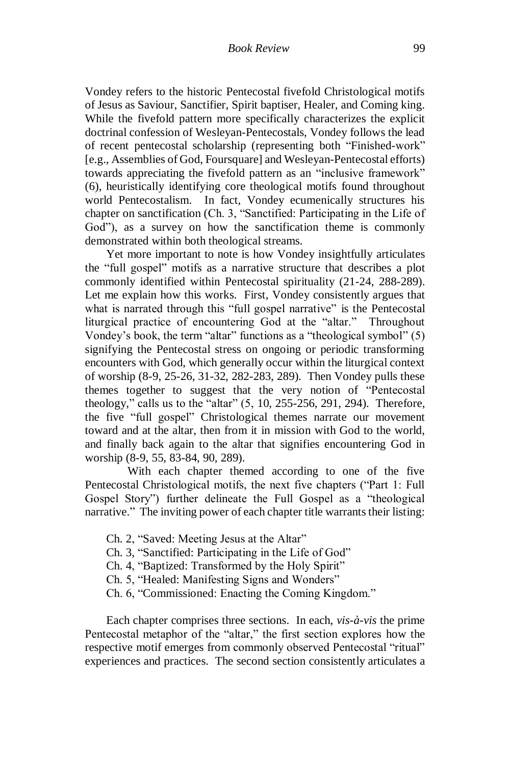Vondey refers to the historic Pentecostal fivefold Christological motifs of Jesus as Saviour, Sanctifier, Spirit baptiser, Healer, and Coming king. While the fivefold pattern more specifically characterizes the explicit doctrinal confession of Wesleyan-Pentecostals, Vondey follows the lead of recent pentecostal scholarship (representing both "Finished-work" [e.g., Assemblies of God, Foursquare] and Wesleyan-Pentecostal efforts) towards appreciating the fivefold pattern as an "inclusive framework" (6), heuristically identifying core theological motifs found throughout world Pentecostalism. In fact, Vondey ecumenically structures his chapter on sanctification (Ch. 3, "Sanctified: Participating in the Life of God"), as a survey on how the sanctification theme is commonly demonstrated within both theological streams.

Yet more important to note is how Vondey insightfully articulates the "full gospel" motifs as a narrative structure that describes a plot commonly identified within Pentecostal spirituality (21-24, 288-289). Let me explain how this works. First, Vondey consistently argues that what is narrated through this "full gospel narrative" is the Pentecostal liturgical practice of encountering God at the "altar." Throughout Vondey's book, the term "altar" functions as a "theological symbol" (5) signifying the Pentecostal stress on ongoing or periodic transforming encounters with God, which generally occur within the liturgical context of worship (8-9, 25-26, 31-32, 282-283, 289). Then Vondey pulls these themes together to suggest that the very notion of "Pentecostal theology," calls us to the "altar" (5, 10, 255-256, 291, 294). Therefore, the five "full gospel" Christological themes narrate our movement toward and at the altar, then from it in mission with God to the world, and finally back again to the altar that signifies encountering God in worship (8-9, 55, 83-84, 90, 289).

With each chapter themed according to one of the five Pentecostal Christological motifs, the next five chapters ("Part 1: Full Gospel Story") further delineate the Full Gospel as a "theological narrative." The inviting power of each chapter title warrants their listing:

- Ch. 2, "Saved: Meeting Jesus at the Altar"
- Ch. 3, "Sanctified: Participating in the Life of God"
- Ch. 4, "Baptized: Transformed by the Holy Spirit"
- Ch. 5, "Healed: Manifesting Signs and Wonders"
- Ch. 6, "Commissioned: Enacting the Coming Kingdom."

Each chapter comprises three sections. In each, *vis-à-vis* the prime Pentecostal metaphor of the "altar," the first section explores how the respective motif emerges from commonly observed Pentecostal "ritual" experiences and practices. The second section consistently articulates a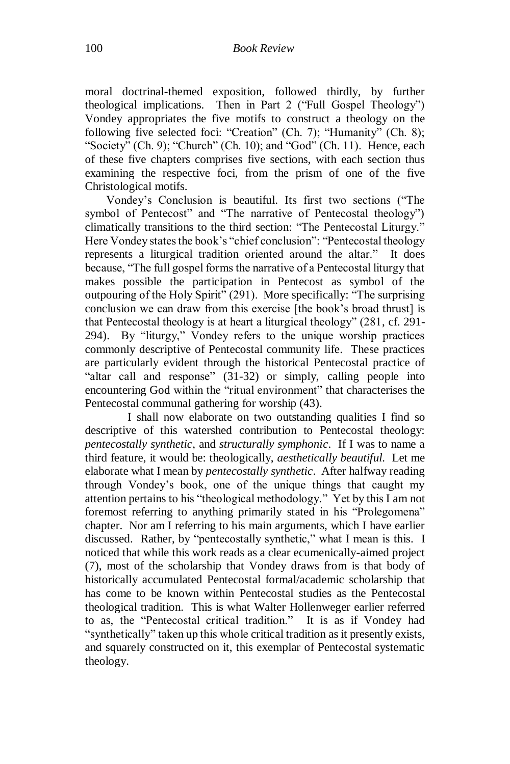moral doctrinal-themed exposition, followed thirdly, by further theological implications. Then in Part 2 ("Full Gospel Theology") Vondey appropriates the five motifs to construct a theology on the following five selected foci: "Creation" (Ch. 7); "Humanity" (Ch. 8); "Society" (Ch. 9); "Church" (Ch. 10); and "God" (Ch. 11). Hence, each of these five chapters comprises five sections, with each section thus examining the respective foci, from the prism of one of the five Christological motifs.

Vondey's Conclusion is beautiful. Its first two sections ("The symbol of Pentecost" and "The narrative of Pentecostal theology") climatically transitions to the third section: "The Pentecostal Liturgy." Here Vondey states the book's "chief conclusion": "Pentecostal theology represents a liturgical tradition oriented around the altar." It does because, "The full gospel forms the narrative of a Pentecostal liturgy that makes possible the participation in Pentecost as symbol of the outpouring of the Holy Spirit" (291). More specifically: "The surprising conclusion we can draw from this exercise [the book's broad thrust] is that Pentecostal theology is at heart a liturgical theology" (281, cf. 291- 294). By "liturgy," Vondey refers to the unique worship practices commonly descriptive of Pentecostal community life. These practices are particularly evident through the historical Pentecostal practice of "altar call and response" (31-32) or simply, calling people into encountering God within the "ritual environment" that characterises the Pentecostal communal gathering for worship (43).

I shall now elaborate on two outstanding qualities I find so descriptive of this watershed contribution to Pentecostal theology: *pentecostally synthetic*, and *structurally symphonic*. If I was to name a third feature, it would be: theologically, *aesthetically beautiful.* Let me elaborate what I mean by *pentecostally synthetic*. After halfway reading through Vondey's book, one of the unique things that caught my attention pertains to his "theological methodology." Yet by this I am not foremost referring to anything primarily stated in his "Prolegomena" chapter. Nor am I referring to his main arguments, which I have earlier discussed. Rather, by "pentecostally synthetic," what I mean is this. I noticed that while this work reads as a clear ecumenically-aimed project (7), most of the scholarship that Vondey draws from is that body of historically accumulated Pentecostal formal/academic scholarship that has come to be known within Pentecostal studies as the Pentecostal theological tradition. This is what Walter Hollenweger earlier referred to as, the "Pentecostal critical tradition." It is as if Vondey had "synthetically" taken up this whole critical tradition as it presently exists, and squarely constructed on it, this exemplar of Pentecostal systematic theology.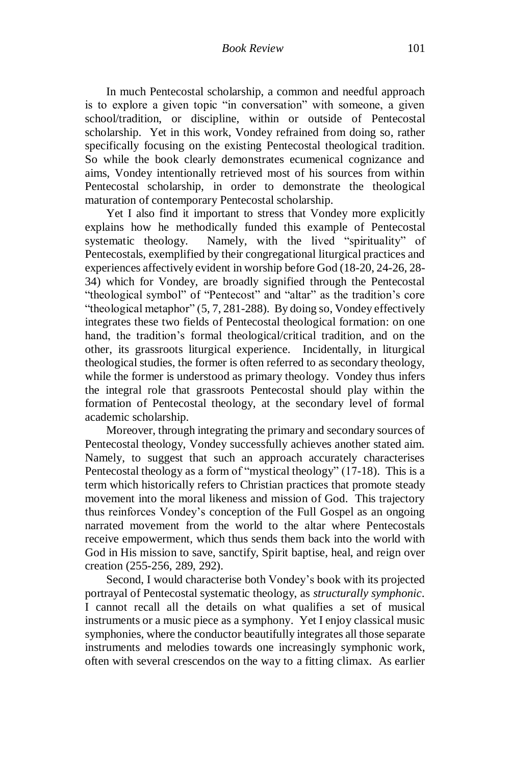In much Pentecostal scholarship, a common and needful approach is to explore a given topic "in conversation" with someone, a given school/tradition, or discipline, within or outside of Pentecostal scholarship. Yet in this work, Vondey refrained from doing so, rather specifically focusing on the existing Pentecostal theological tradition. So while the book clearly demonstrates ecumenical cognizance and aims, Vondey intentionally retrieved most of his sources from within Pentecostal scholarship, in order to demonstrate the theological maturation of contemporary Pentecostal scholarship.

Yet I also find it important to stress that Vondey more explicitly explains how he methodically funded this example of Pentecostal systematic theology. Namely, with the lived "spirituality" of Pentecostals, exemplified by their congregational liturgical practices and experiences affectively evident in worship before God (18-20, 24-26, 28- 34) which for Vondey, are broadly signified through the Pentecostal "theological symbol" of "Pentecost" and "altar" as the tradition's core "theological metaphor" (5, 7, 281-288). By doing so, Vondey effectively integrates these two fields of Pentecostal theological formation: on one hand, the tradition's formal theological/critical tradition, and on the other, its grassroots liturgical experience. Incidentally, in liturgical theological studies, the former is often referred to as secondary theology, while the former is understood as primary theology. Vondey thus infers the integral role that grassroots Pentecostal should play within the formation of Pentecostal theology, at the secondary level of formal academic scholarship.

Moreover, through integrating the primary and secondary sources of Pentecostal theology, Vondey successfully achieves another stated aim. Namely, to suggest that such an approach accurately characterises Pentecostal theology as a form of "mystical theology" (17-18). This is a term which historically refers to Christian practices that promote steady movement into the moral likeness and mission of God. This trajectory thus reinforces Vondey's conception of the Full Gospel as an ongoing narrated movement from the world to the altar where Pentecostals receive empowerment, which thus sends them back into the world with God in His mission to save, sanctify, Spirit baptise, heal, and reign over creation (255-256, 289, 292).

Second, I would characterise both Vondey's book with its projected portrayal of Pentecostal systematic theology, as *structurally symphonic*. I cannot recall all the details on what qualifies a set of musical instruments or a music piece as a symphony. Yet I enjoy classical music symphonies, where the conductor beautifully integrates all those separate instruments and melodies towards one increasingly symphonic work, often with several crescendos on the way to a fitting climax. As earlier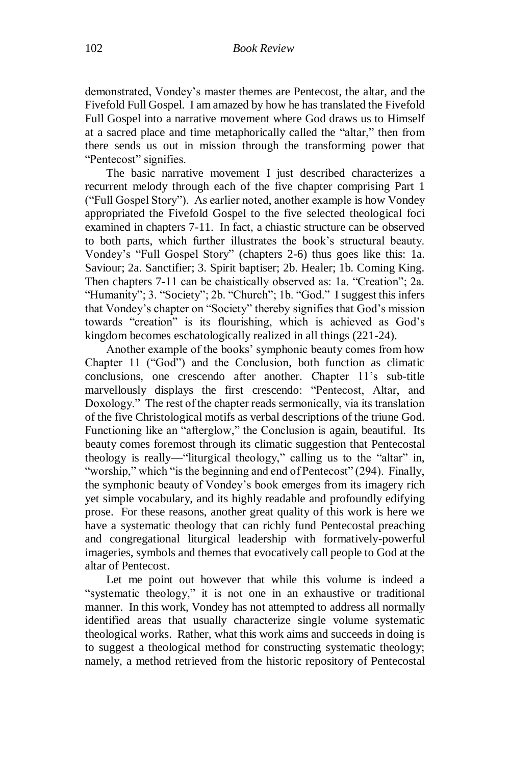demonstrated, Vondey's master themes are Pentecost, the altar, and the Fivefold Full Gospel. I am amazed by how he has translated the Fivefold Full Gospel into a narrative movement where God draws us to Himself at a sacred place and time metaphorically called the "altar," then from there sends us out in mission through the transforming power that "Pentecost" signifies.

The basic narrative movement I just described characterizes a recurrent melody through each of the five chapter comprising Part 1 ("Full Gospel Story"). As earlier noted, another example is how Vondey appropriated the Fivefold Gospel to the five selected theological foci examined in chapters 7-11. In fact, a chiastic structure can be observed to both parts, which further illustrates the book's structural beauty. Vondey's "Full Gospel Story" (chapters 2-6) thus goes like this: 1a. Saviour; 2a. Sanctifier; 3. Spirit baptiser; 2b. Healer; 1b. Coming King. Then chapters 7-11 can be chaistically observed as: 1a. "Creation"; 2a. "Humanity"; 3. "Society"; 2b. "Church"; 1b. "God." I suggest this infers that Vondey's chapter on "Society" thereby signifies that God's mission towards "creation" is its flourishing, which is achieved as God's kingdom becomes eschatologically realized in all things (221-24).

Another example of the books' symphonic beauty comes from how Chapter 11 ("God") and the Conclusion, both function as climatic conclusions, one crescendo after another. Chapter 11's sub-title marvellously displays the first crescendo: "Pentecost, Altar, and Doxology." The rest of the chapter reads sermonically, via its translation of the five Christological motifs as verbal descriptions of the triune God. Functioning like an "afterglow," the Conclusion is again, beautiful. Its beauty comes foremost through its climatic suggestion that Pentecostal theology is really—"liturgical theology," calling us to the "altar" in, "worship," which "is the beginning and end of Pentecost" (294). Finally, the symphonic beauty of Vondey's book emerges from its imagery rich yet simple vocabulary, and its highly readable and profoundly edifying prose. For these reasons, another great quality of this work is here we have a systematic theology that can richly fund Pentecostal preaching and congregational liturgical leadership with formatively-powerful imageries, symbols and themes that evocatively call people to God at the altar of Pentecost.

Let me point out however that while this volume is indeed a "systematic theology," it is not one in an exhaustive or traditional manner. In this work, Vondey has not attempted to address all normally identified areas that usually characterize single volume systematic theological works. Rather, what this work aims and succeeds in doing is to suggest a theological method for constructing systematic theology; namely, a method retrieved from the historic repository of Pentecostal